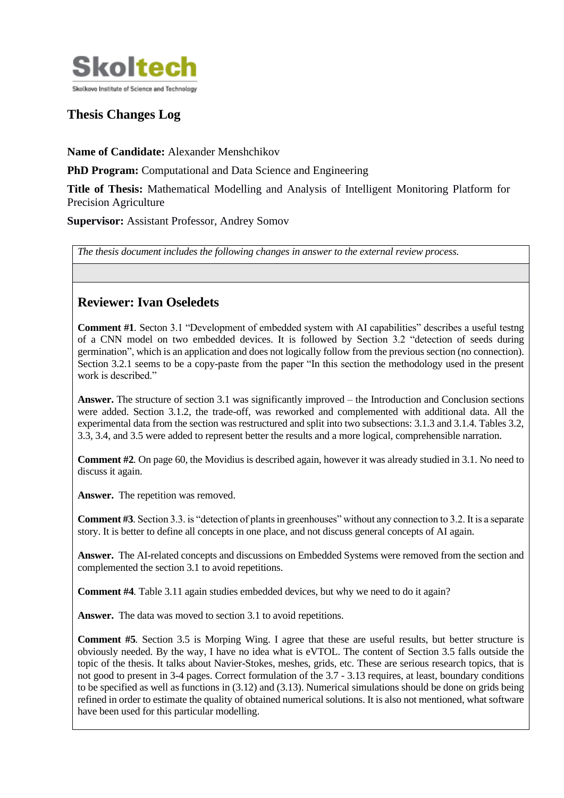

# **Thesis Changes Log**

**Name of Candidate:** Alexander Menshchikov

**PhD Program:** Computational and Data Science and Engineering

**Title of Thesis:** Mathematical Modelling and Analysis of Intelligent Monitoring Platform for Precision Agriculture

**Supervisor:** Assistant Professor, Andrey Somov

*The thesis document includes the following changes in answer to the external review process.*

## **Reviewer: Ivan Oseledets**

**Comment #1***.* Secton 3.1 "Development of embedded system with AI capabilities" describes a useful testng of a CNN model on two embedded devices. It is followed by Section 3.2 "detection of seeds during germination", which is an application and does not logically follow from the previous section (no connection). Section 3.2.1 seems to be a copy-paste from the paper "In this section the methodology used in the present work is described."

**Answer.** The structure of section 3.1 was significantly improved – the Introduction and Conclusion sections were added. Section 3.1.2, the trade-off, was reworked and complemented with additional data. All the experimental data from the section was restructured and split into two subsections: 3.1.3 and 3.1.4. Tables 3.2, 3.3, 3.4, and 3.5 were added to represent better the results and a more logical, comprehensible narration.

**Comment #2***.* On page 60, the Movidius is described again, however it was already studied in 3.1. No need to discuss it again.

Answer. The repetition was removed.

**Comment #3***.* Section 3.3. is "detection of plants in greenhouses" without any connection to 3.2. It is a separate story. It is better to define all concepts in one place, and not discuss general concepts of AI again.

**Answer.** The AI-related concepts and discussions on Embedded Systems were removed from the section and complemented the section 3.1 to avoid repetitions.

**Comment #4***.* Table 3.11 again studies embedded devices, but why we need to do it again?

**Answer.** The data was moved to section 3.1 to avoid repetitions.

**Comment #5***.* Section 3.5 is Morping Wing. I agree that these are useful results, but better structure is obviously needed. By the way, I have no idea what is eVTOL. The content of Section 3.5 falls outside the topic of the thesis. It talks about Navier-Stokes, meshes, grids, etc. These are serious research topics, that is not good to present in 3-4 pages. Correct formulation of the 3.7 - 3.13 requires, at least, boundary conditions to be specified as well as functions in (3.12) and (3.13). Numerical simulations should be done on grids being refined in order to estimate the quality of obtained numerical solutions. It is also not mentioned, what software have been used for this particular modelling.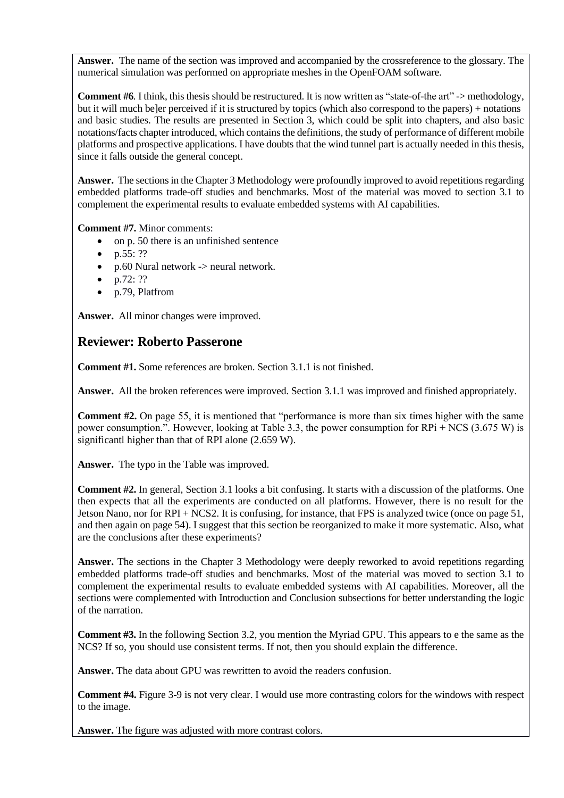**Answer.** The name of the section was improved and accompanied by the crossreference to the glossary. The numerical simulation was performed on appropriate meshes in the OpenFOAM software.

**Comment #6***.* I think, this thesis should be restructured. It is now written as "state-of-the art" -> methodology, but it will much be]er perceived if it is structured by topics (which also correspond to the papers) + notations and basic studies. The results are presented in Section 3, which could be split into chapters, and also basic notations/facts chapter introduced, which contains the definitions, the study of performance of different mobile platforms and prospective applications. I have doubts that the wind tunnel part is actually needed in this thesis, since it falls outside the general concept.

**Answer.** The sections in the Chapter 3 Methodology were profoundly improved to avoid repetitions regarding embedded platforms trade-off studies and benchmarks. Most of the material was moved to section 3.1 to complement the experimental results to evaluate embedded systems with AI capabilities.

**Comment #7.** Minor comments:

- on p. 50 there is an unfinished sentence
- p.55: ??
- p.60 Nural network  $\rightarrow$  neural network.
- $p.72: ??$
- p.79, Platfrom

**Answer.** All minor changes were improved.

#### **Reviewer: Roberto Passerone**

**Comment #1.** Some references are broken. Section 3.1.1 is not finished.

**Answer.** All the broken references were improved. Section 3.1.1 was improved and finished appropriately.

**Comment #2.** On page 55, it is mentioned that "performance is more than six times higher with the same power consumption.". However, looking at Table 3.3, the power consumption for RPi + NCS (3.675 W) is significantl higher than that of RPI alone (2.659 W).

**Answer.** The typo in the Table was improved.

**Comment #2.** In general, Section 3.1 looks a bit confusing. It starts with a discussion of the platforms. One then expects that all the experiments are conducted on all platforms. However, there is no result for the Jetson Nano, nor for RPI + NCS2. It is confusing, for instance, that FPS is analyzed twice (once on page 51, and then again on page 54). I suggest that this section be reorganized to make it more systematic. Also, what are the conclusions after these experiments?

Answer. The sections in the Chapter 3 Methodology were deeply reworked to avoid repetitions regarding embedded platforms trade-off studies and benchmarks. Most of the material was moved to section 3.1 to complement the experimental results to evaluate embedded systems with AI capabilities. Moreover, all the sections were complemented with Introduction and Conclusion subsections for better understanding the logic of the narration.

**Comment #3.** In the following Section 3.2, you mention the Myriad GPU. This appears to e the same as the NCS? If so, you should use consistent terms. If not, then you should explain the difference.

**Answer.** The data about GPU was rewritten to avoid the readers confusion.

**Comment #4.** Figure 3-9 is not very clear. I would use more contrasting colors for the windows with respect to the image.

**Answer.** The figure was adjusted with more contrast colors.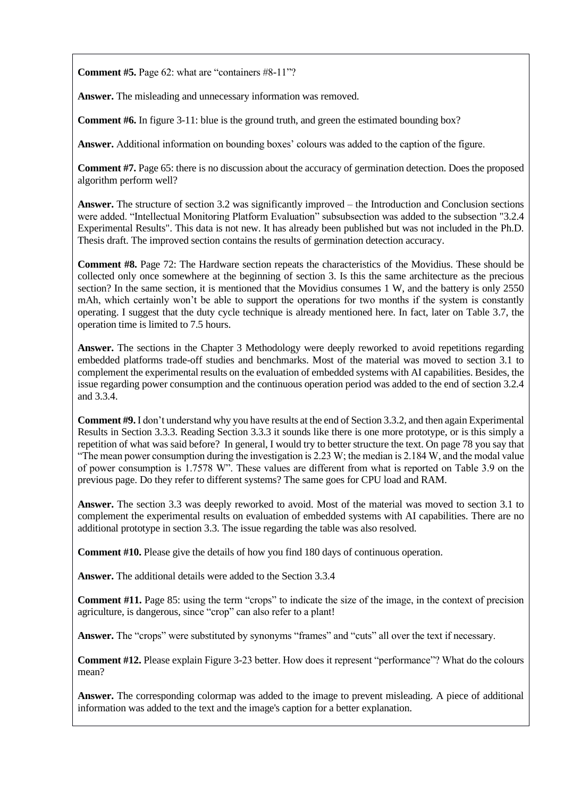**Comment #5.** Page 62: what are "containers #8-11"?

**Answer.** The misleading and unnecessary information was removed.

**Comment #6.** In figure 3-11: blue is the ground truth, and green the estimated bounding box?

**Answer.** Additional information on bounding boxes' colours was added to the caption of the figure.

**Comment #7.** Page 65: there is no discussion about the accuracy of germination detection. Does the proposed algorithm perform well?

**Answer.** The structure of section 3.2 was significantly improved – the Introduction and Conclusion sections were added. "Intellectual Monitoring Platform Evaluation" subsubsection was added to the subsection "3.2.4 Experimental Results". This data is not new. It has already been published but was not included in the Ph.D. Thesis draft. The improved section contains the results of germination detection accuracy.

**Comment #8.** Page 72: The Hardware section repeats the characteristics of the Movidius. These should be collected only once somewhere at the beginning of section 3. Is this the same architecture as the precious section? In the same section, it is mentioned that the Movidius consumes 1 W, and the battery is only 2550 mAh, which certainly won't be able to support the operations for two months if the system is constantly operating. I suggest that the duty cycle technique is already mentioned here. In fact, later on Table 3.7, the operation time is limited to 7.5 hours.

**Answer.** The sections in the Chapter 3 Methodology were deeply reworked to avoid repetitions regarding embedded platforms trade-off studies and benchmarks. Most of the material was moved to section 3.1 to complement the experimental results on the evaluation of embedded systems with AI capabilities. Besides, the issue regarding power consumption and the continuous operation period was added to the end of section 3.2.4 and 3.3.4.

**Comment #9.** I don't understand why you have results at the end of Section 3.3.2, and then again Experimental Results in Section 3.3.3. Reading Section 3.3.3 it sounds like there is one more prototype, or is this simply a repetition of what was said before? In general, I would try to better structure the text. On page 78 you say that "The mean power consumption during the investigation is 2.23 W; the median is 2.184 W, and the modal value of power consumption is 1.7578 W". These values are different from what is reported on Table 3.9 on the previous page. Do they refer to different systems? The same goes for CPU load and RAM.

**Answer.** The section 3.3 was deeply reworked to avoid. Most of the material was moved to section 3.1 to complement the experimental results on evaluation of embedded systems with AI capabilities. There are no additional prototype in section 3.3. The issue regarding the table was also resolved.

**Comment #10.** Please give the details of how you find 180 days of continuous operation.

**Answer.** The additional details were added to the Section 3.3.4

**Comment #11.** Page 85: using the term "crops" to indicate the size of the image, in the context of precision agriculture, is dangerous, since "crop" can also refer to a plant!

**Answer.** The "crops" were substituted by synonyms "frames" and "cuts" all over the text if necessary.

**Comment #12.** Please explain Figure 3-23 better. How does it represent "performance"? What do the colours mean?

**Answer.** The corresponding colormap was added to the image to prevent misleading. A piece of additional information was added to the text and the image's caption for a better explanation.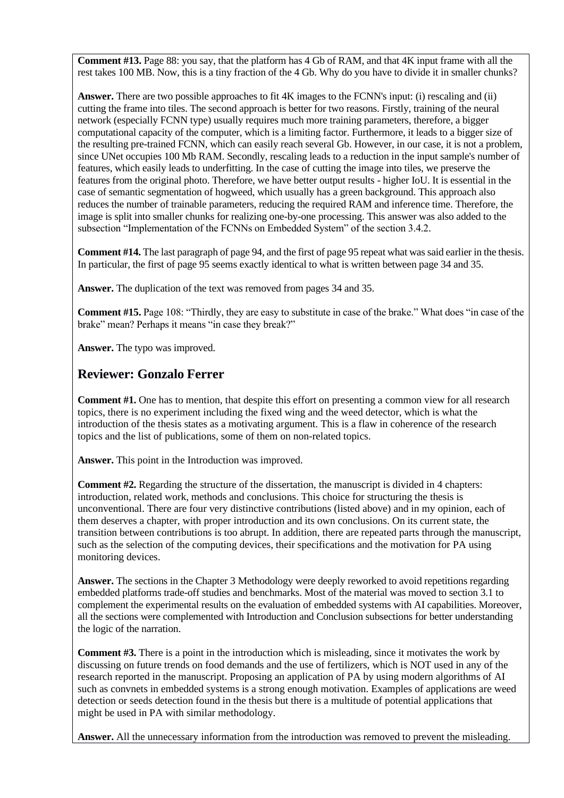**Comment #13.** Page 88: you say, that the platform has 4 Gb of RAM, and that 4K input frame with all the rest takes 100 MB. Now, this is a tiny fraction of the 4 Gb. Why do you have to divide it in smaller chunks?

**Answer.** There are two possible approaches to fit 4K images to the FCNN's input: (i) rescaling and (ii) cutting the frame into tiles. The second approach is better for two reasons. Firstly, training of the neural network (especially FCNN type) usually requires much more training parameters, therefore, a bigger computational capacity of the computer, which is a limiting factor. Furthermore, it leads to a bigger size of the resulting pre-trained FCNN, which can easily reach several Gb. However, in our case, it is not a problem, since UNet occupies 100 Mb RAM. Secondly, rescaling leads to a reduction in the input sample's number of features, which easily leads to underfitting. In the case of cutting the image into tiles, we preserve the features from the original photo. Therefore, we have better output results - higher IoU. It is essential in the case of semantic segmentation of hogweed, which usually has a green background. This approach also reduces the number of trainable parameters, reducing the required RAM and inference time. Therefore, the image is split into smaller chunks for realizing one-by-one processing. This answer was also added to the subsection "Implementation of the FCNNs on Embedded System" of the section 3.4.2.

**Comment #14.** The last paragraph of page 94, and the first of page 95 repeat what was said earlier in the thesis. In particular, the first of page 95 seems exactly identical to what is written between page 34 and 35.

**Answer.** The duplication of the text was removed from pages 34 and 35.

**Comment #15.** Page 108: "Thirdly, they are easy to substitute in case of the brake." What does "in case of the brake" mean? Perhaps it means "in case they break?"

**Answer.** The typo was improved.

### **Reviewer: Gonzalo Ferrer**

**Comment #1.** One has to mention, that despite this effort on presenting a common view for all research topics, there is no experiment including the fixed wing and the weed detector, which is what the introduction of the thesis states as a motivating argument. This is a flaw in coherence of the research topics and the list of publications, some of them on non-related topics.

**Answer.** This point in the Introduction was improved.

**Comment #2.** Regarding the structure of the dissertation, the manuscript is divided in 4 chapters: introduction, related work, methods and conclusions. This choice for structuring the thesis is unconventional. There are four very distinctive contributions (listed above) and in my opinion, each of them deserves a chapter, with proper introduction and its own conclusions. On its current state, the transition between contributions is too abrupt. In addition, there are repeated parts through the manuscript, such as the selection of the computing devices, their specifications and the motivation for PA using monitoring devices.

**Answer.** The sections in the Chapter 3 Methodology were deeply reworked to avoid repetitions regarding embedded platforms trade-off studies and benchmarks. Most of the material was moved to section 3.1 to complement the experimental results on the evaluation of embedded systems with AI capabilities. Moreover, all the sections were complemented with Introduction and Conclusion subsections for better understanding the logic of the narration.

**Comment #3.** There is a point in the introduction which is misleading, since it motivates the work by discussing on future trends on food demands and the use of fertilizers, which is NOT used in any of the research reported in the manuscript. Proposing an application of PA by using modern algorithms of AI such as convnets in embedded systems is a strong enough motivation. Examples of applications are weed detection or seeds detection found in the thesis but there is a multitude of potential applications that might be used in PA with similar methodology.

**Answer.** All the unnecessary information from the introduction was removed to prevent the misleading.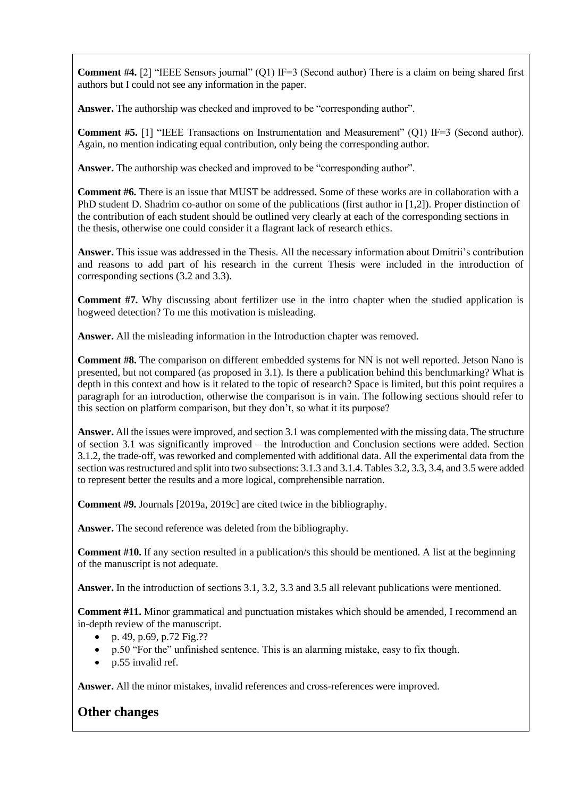**Comment #4.** [2] "IEEE Sensors journal" (Q1) IF=3 (Second author) There is a claim on being shared first authors but I could not see any information in the paper.

Answer. The authorship was checked and improved to be "corresponding author".

**Comment #5.** [1] "IEEE Transactions on Instrumentation and Measurement" (O1) IF=3 (Second author). Again, no mention indicating equal contribution, only being the corresponding author.

**Answer.** The authorship was checked and improved to be "corresponding author".

**Comment #6.** There is an issue that MUST be addressed. Some of these works are in collaboration with a PhD student D. Shadrim co-author on some of the publications (first author in [1,2]). Proper distinction of the contribution of each student should be outlined very clearly at each of the corresponding sections in the thesis, otherwise one could consider it a flagrant lack of research ethics.

**Answer.** This issue was addressed in the Thesis. All the necessary information about Dmitrii's contribution and reasons to add part of his research in the current Thesis were included in the introduction of corresponding sections (3.2 and 3.3).

**Comment #7.** Why discussing about fertilizer use in the intro chapter when the studied application is hogweed detection? To me this motivation is misleading.

**Answer.** All the misleading information in the Introduction chapter was removed.

**Comment #8.** The comparison on different embedded systems for NN is not well reported. Jetson Nano is presented, but not compared (as proposed in 3.1). Is there a publication behind this benchmarking? What is depth in this context and how is it related to the topic of research? Space is limited, but this point requires a paragraph for an introduction, otherwise the comparison is in vain. The following sections should refer to this section on platform comparison, but they don't, so what it its purpose?

**Answer.** All the issues were improved, and section 3.1 was complemented with the missing data. The structure of section 3.1 was significantly improved – the Introduction and Conclusion sections were added. Section 3.1.2, the trade-off, was reworked and complemented with additional data. All the experimental data from the section was restructured and split into two subsections: 3.1.3 and 3.1.4. Tables 3.2, 3.3, 3.4, and 3.5 were added to represent better the results and a more logical, comprehensible narration.

**Comment #9.** Journals [2019a, 2019c] are cited twice in the bibliography.

**Answer.** The second reference was deleted from the bibliography.

**Comment #10.** If any section resulted in a publication/s this should be mentioned. A list at the beginning of the manuscript is not adequate.

**Answer.** In the introduction of sections 3.1, 3.2, 3.3 and 3.5 all relevant publications were mentioned.

**Comment #11.** Minor grammatical and punctuation mistakes which should be amended, I recommend an in-depth review of the manuscript.

- p. 49, p.69, p.72 Fig.??
- p.50 "For the" unfinished sentence. This is an alarming mistake, easy to fix though.
- p.55 invalid ref.

**Answer.** All the minor mistakes, invalid references and cross-references were improved.

## **Other changes**